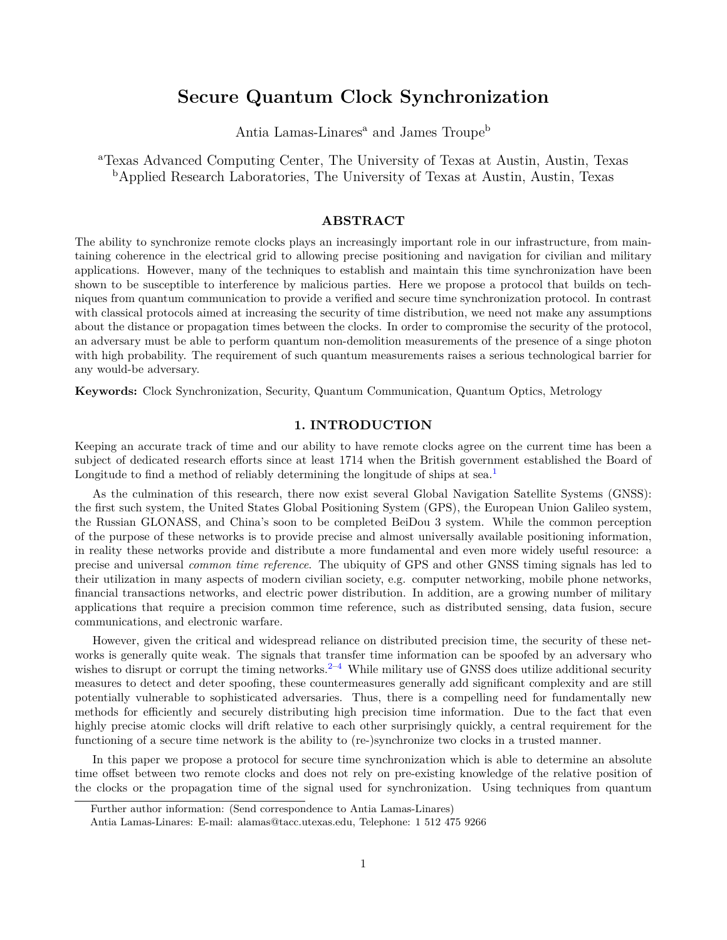# **Secure Quantum Clock Synchronization**

Antia Lamas-Linares<sup>a</sup> and James Troupe<sup>b</sup>

<sup>a</sup>Texas Advanced Computing Center, The University of Texas at Austin, Austin, Texas <sup>b</sup>Applied Research Laboratories, The University of Texas at Austin, Austin, Texas

# **ABSTRACT**

The ability to synchronize remote clocks plays an increasingly important role in our infrastructure, from maintaining coherence in the electrical grid to allowing precise positioning and navigation for civilian and military applications. However, many of the techniques to establish and maintain this time synchronization have been shown to be susceptible to interference by malicious parties. Here we propose a protocol that builds on techniques from quantum communication to provide a verified and secure time synchronization protocol. In contrast with classical protocols aimed at increasing the security of time distribution, we need not make any assumptions about the distance or propagation times between the clocks. In order to compromise the security of the protocol, an adversary must be able to perform quantum non-demolition measurements of the presence of a singe photon with high probability. The requirement of such quantum measurements raises a serious technological barrier for any would-be adversary.

**Keywords:** Clock Synchronization, Security, Quantum Communication, Quantum Optics, Metrology

# **1. INTRODUCTION**

Keeping an accurate track of time and our ability to have remote clocks agree on the current time has been a subject of dedicated research efforts since at least 1714 when the British government established the Board of Longitude to find a method of reliably determining the longitude of ships at sea.<sup>1</sup>

As the culmination of this research, there now exist several Global Navigation Satellite Systems (GNSS): the first such system, the United States Global Positioning System (GPS), the European Union Galileo system, the Russian GLONASS, and China's soon to be completed BeiDou 3 system. While the common perception of the purpose of these networks is to provide precise and almost universally available positioning information, in reality these networks provide and distribute a more fundamental and even more widely useful resource: a precise and universal *common time reference*. The ubiquity of GPS and other GNSS timing signals has led to their utilization in many aspects of modern civilian society, e.g. computer networking, mobile phone networks, financial transactions networks, and electric power distribution. In addition, are a growing number of military applications that require a precision common time reference, such as distributed sensing, data fusion, secure communications, and electronic warfare.

However, given the critical and widespread reliance on distributed precision time, the security of these networks is generally quite weak. The signals that transfer time information can be spoofed by an adversary who wishes to disrupt or corrupt the timing networks.<sup>2–4</sup> While military use of GNSS does utilize additional security measures to detect and deter spoofing, these countermeasures generally add significant complexity and are still potentially vulnerable to sophisticated adversaries. Thus, there is a compelling need for fundamentally new methods for efficiently and securely distributing high precision time information. Due to the fact that even highly precise atomic clocks will drift relative to each other surprisingly quickly, a central requirement for the functioning of a secure time network is the ability to (re-)synchronize two clocks in a trusted manner.

In this paper we propose a protocol for secure time synchronization which is able to determine an absolute time offset between two remote clocks and does not rely on pre-existing knowledge of the relative position of the clocks or the propagation time of the signal used for synchronization. Using techniques from quantum

Further author information: (Send correspondence to Antia Lamas-Linares)

Antia Lamas-Linares: E-mail: alamas@tacc.utexas.edu, Telephone: 1 512 475 9266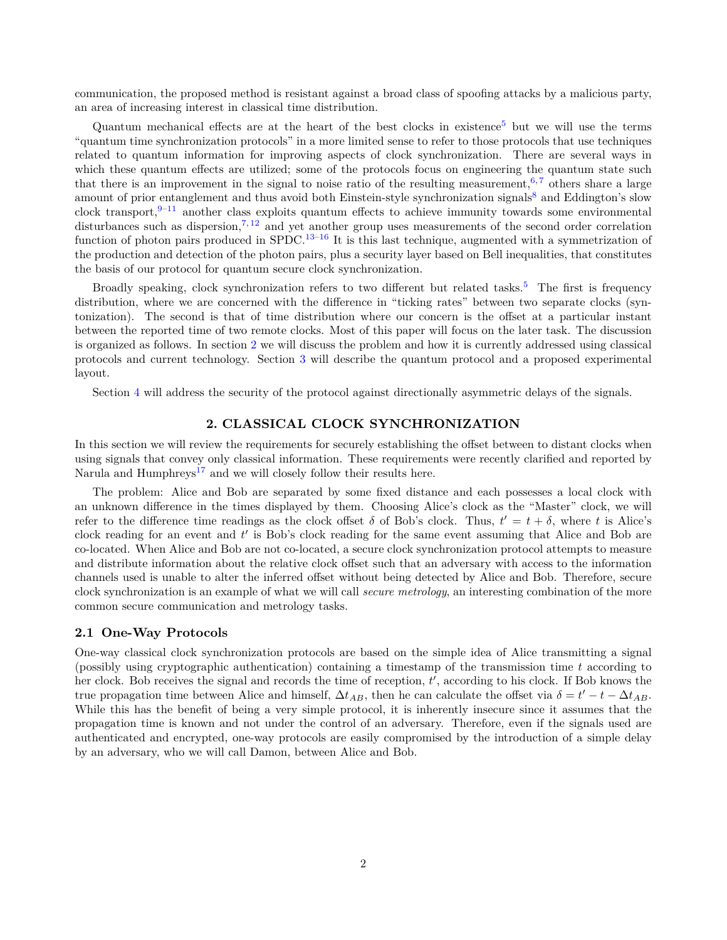communication, the proposed method is resistant against a broad class of spoofing attacks by a malicious party, an area of increasing interest in classical time distribution.

Quantum mechanical effects are at the heart of the best clocks in existence<sup>5</sup> but we will use the terms "quantum time synchronization protocols" in a more limited sense to refer to those protocols that use techniques related to quantum information for improving aspects of clock synchronization. There are several ways in which these quantum effects are utilized; some of the protocols focus on engineering the quantum state such that there is an improvement in the signal to noise ratio of the resulting measurement,  $6, 7$  others share a large amount of prior entanglement and thus avoid both Einstein-style synchronization signals<sup>8</sup> and Eddington's slow clock transport,  $9-11$  another class exploits quantum effects to achieve immunity towards some environmental disturbances such as dispersion,<sup>7, 12</sup> and yet another group uses measurements of the second order correlation function of photon pairs produced in  $SPDC$ .<sup>13–16</sup> It is this last technique, augmented with a symmetrization of the production and detection of the photon pairs, plus a security layer based on Bell inequalities, that constitutes the basis of our protocol for quantum secure clock synchronization.

Broadly speaking, clock synchronization refers to two different but related tasks.<sup>5</sup> The first is frequency distribution, where we are concerned with the difference in "ticking rates" between two separate clocks (syntonization). The second is that of time distribution where our concern is the offset at a particular instant between the reported time of two remote clocks. Most of this paper will focus on the later task. The discussion is organized as follows. In section 2 we will discuss the problem and how it is currently addressed using classical protocols and current technology. Section 3 will describe the quantum protocol and a proposed experimental layout.

Section 4 will address the security of the protocol against directionally asymmetric delays of the signals.

# **2. CLASSICAL CLOCK SYNCHRONIZATION**

In this section we will review the requirements for securely establishing the offset between to distant clocks when using signals that convey only classical information. These requirements were recently clarified and reported by Narula and Humphreys<sup>17</sup> and we will closely follow their results here.

The problem: Alice and Bob are separated by some fixed distance and each possesses a local clock with an unknown difference in the times displayed by them. Choosing Alice's clock as the "Master" clock, we will refer to the difference time readings as the clock offset  $\delta$  of Bob's clock. Thus,  $t' = t + \delta$ , where *t* is Alice's clock reading for an event and t' is Bob's clock reading for the same event assuming that Alice and Bob are co-located. When Alice and Bob are not co-located, a secure clock synchronization protocol attempts to measure and distribute information about the relative clock offset such that an adversary with access to the information channels used is unable to alter the inferred offset without being detected by Alice and Bob. Therefore, secure clock synchronization is an example of what we will call *secure metrology*, an interesting combination of the more common secure communication and metrology tasks.

#### **2.1 One-Way Protocols**

One-way classical clock synchronization protocols are based on the simple idea of Alice transmitting a signal (possibly using cryptographic authentication) containing a timestamp of the transmission time *t* according to her clock. Bob receives the signal and records the time of reception,  $t'$ , according to his clock. If Bob knows the true propagation time between Alice and himself,  $\Delta t_{AB}$ , then he can calculate the offset via  $\delta = t' - t - \Delta t_{AB}$ . While this has the benefit of being a very simple protocol, it is inherently insecure since it assumes that the propagation time is known and not under the control of an adversary. Therefore, even if the signals used are authenticated and encrypted, one-way protocols are easily compromised by the introduction of a simple delay by an adversary, who we will call Damon, between Alice and Bob.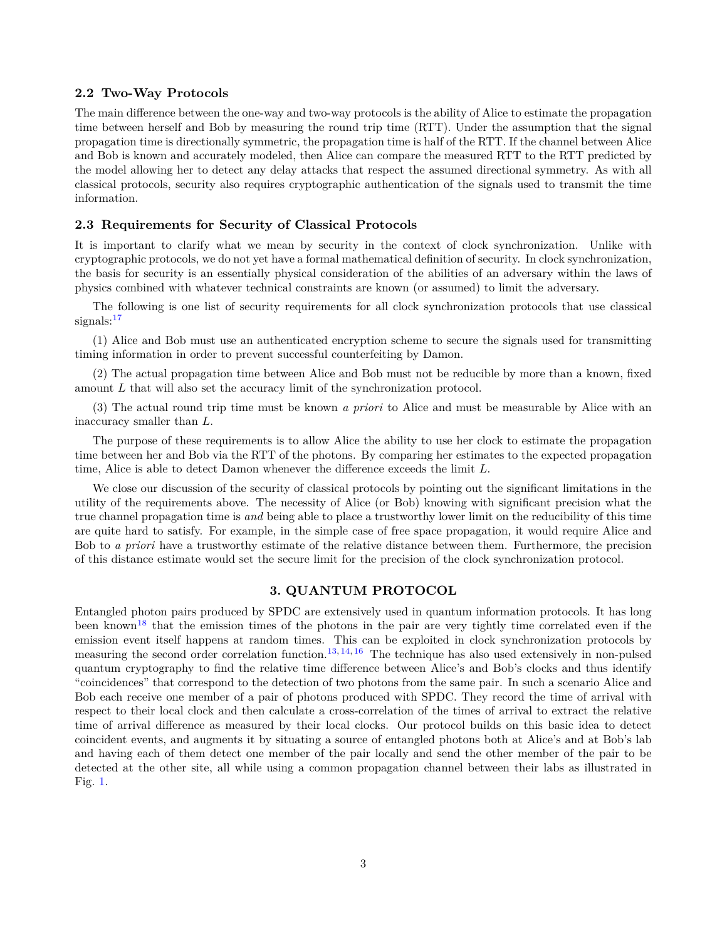#### **2.2 Two-Way Protocols**

The main difference between the one-way and two-way protocols is the ability of Alice to estimate the propagation time between herself and Bob by measuring the round trip time (RTT). Under the assumption that the signal propagation time is directionally symmetric, the propagation time is half of the RTT. If the channel between Alice and Bob is known and accurately modeled, then Alice can compare the measured RTT to the RTT predicted by the model allowing her to detect any delay attacks that respect the assumed directional symmetry. As with all classical protocols, security also requires cryptographic authentication of the signals used to transmit the time information.

#### **2.3 Requirements for Security of Classical Protocols**

It is important to clarify what we mean by security in the context of clock synchronization. Unlike with cryptographic protocols, we do not yet have a formal mathematical definition of security. In clock synchronization, the basis for security is an essentially physical consideration of the abilities of an adversary within the laws of physics combined with whatever technical constraints are known (or assumed) to limit the adversary.

The following is one list of security requirements for all clock synchronization protocols that use classical signals: $17$ 

(1) Alice and Bob must use an authenticated encryption scheme to secure the signals used for transmitting timing information in order to prevent successful counterfeiting by Damon.

(2) The actual propagation time between Alice and Bob must not be reducible by more than a known, fixed amount *L* that will also set the accuracy limit of the synchronization protocol.

(3) The actual round trip time must be known *a priori* to Alice and must be measurable by Alice with an inaccuracy smaller than *L*.

The purpose of these requirements is to allow Alice the ability to use her clock to estimate the propagation time between her and Bob via the RTT of the photons. By comparing her estimates to the expected propagation time, Alice is able to detect Damon whenever the difference exceeds the limit *L*.

We close our discussion of the security of classical protocols by pointing out the significant limitations in the utility of the requirements above. The necessity of Alice (or Bob) knowing with significant precision what the true channel propagation time is *and* being able to place a trustworthy lower limit on the reducibility of this time are quite hard to satisfy. For example, in the simple case of free space propagation, it would require Alice and Bob to *a priori* have a trustworthy estimate of the relative distance between them. Furthermore, the precision of this distance estimate would set the secure limit for the precision of the clock synchronization protocol.

### **3. QUANTUM PROTOCOL**

Entangled photon pairs produced by SPDC are extensively used in quantum information protocols. It has long been known<sup>18</sup> that the emission times of the photons in the pair are very tightly time correlated even if the emission event itself happens at random times. This can be exploited in clock synchronization protocols by measuring the second order correlation function.<sup>13, 14, 16</sup> The technique has also used extensively in non-pulsed quantum cryptography to find the relative time difference between Alice's and Bob's clocks and thus identify "coincidences" that correspond to the detection of two photons from the same pair. In such a scenario Alice and Bob each receive one member of a pair of photons produced with SPDC. They record the time of arrival with respect to their local clock and then calculate a cross-correlation of the times of arrival to extract the relative time of arrival difference as measured by their local clocks. Our protocol builds on this basic idea to detect coincident events, and augments it by situating a source of entangled photons both at Alice's and at Bob's lab and having each of them detect one member of the pair locally and send the other member of the pair to be detected at the other site, all while using a common propagation channel between their labs as illustrated in Fig. 1.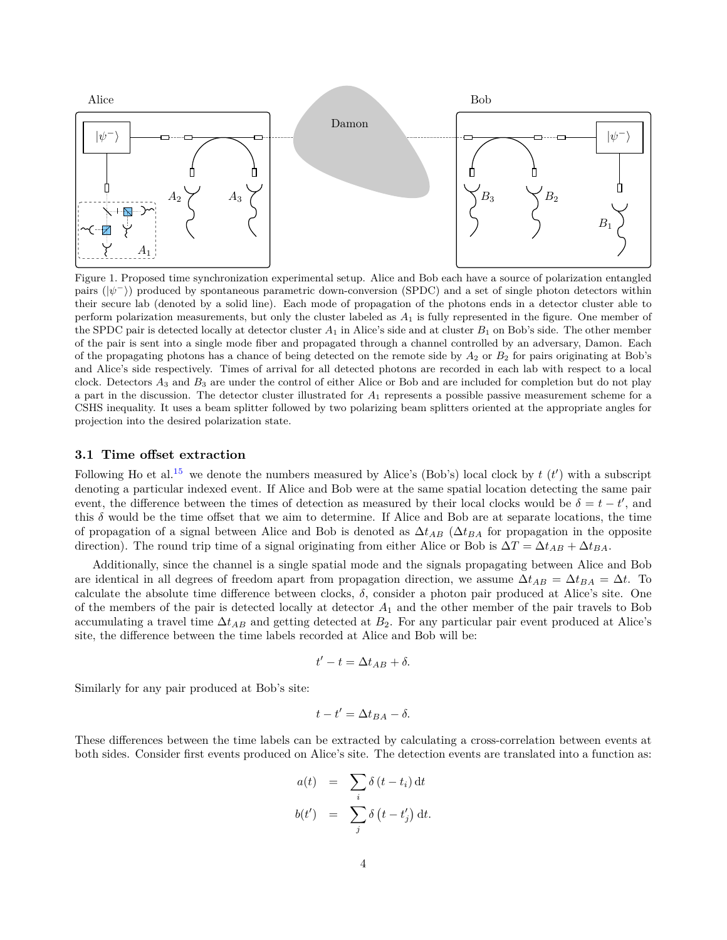

Figure 1. Proposed time synchronization experimental setup. Alice and Bob each have a source of polarization entangled pairs  $(|\psi^{-}\rangle)$  produced by spontaneous parametric down-conversion (SPDC) and a set of single photon detectors within their secure lab (denoted by a solid line). Each mode of propagation of the photons ends in a detector cluster able to perform polarization measurements, but only the cluster labeled as *A*<sup>1</sup> is fully represented in the figure. One member of the SPDC pair is detected locally at detector cluster  $A_1$  in Alice's side and at cluster  $B_1$  on Bob's side. The other member of the pair is sent into a single mode fiber and propagated through a channel controlled by an adversary, Damon. Each of the propagating photons has a chance of being detected on the remote side by *A*<sup>2</sup> or *B*<sup>2</sup> for pairs originating at Bob's and Alice's side respectively. Times of arrival for all detected photons are recorded in each lab with respect to a local clock. Detectors *A*<sup>3</sup> and *B*<sup>3</sup> are under the control of either Alice or Bob and are included for completion but do not play a part in the discussion. The detector cluster illustrated for *A*<sup>1</sup> represents a possible passive measurement scheme for a CSHS inequality. It uses a beam splitter followed by two polarizing beam splitters oriented at the appropriate angles for projection into the desired polarization state.

#### **3.1 Time offset extraction**

Following Ho et al.<sup>15</sup> we denote the numbers measured by Alice's (Bob's) local clock by  $t(t')$  with a subscript denoting a particular indexed event. If Alice and Bob were at the same spatial location detecting the same pair event, the difference between the times of detection as measured by their local clocks would be  $\delta = t - t'$ , and this  $\delta$  would be the time offset that we aim to determine. If Alice and Bob are at separate locations, the time of propagation of a signal between Alice and Bob is denoted as ∆*tAB* (∆*tBA* for propagation in the opposite direction). The round trip time of a signal originating from either Alice or Bob is  $\Delta T = \Delta t_{AB} + \Delta t_{BA}$ .

Additionally, since the channel is a single spatial mode and the signals propagating between Alice and Bob are identical in all degrees of freedom apart from propagation direction, we assume  $\Delta t_{AB} = \Delta t_{BA} = \Delta t$ . To calculate the absolute time difference between clocks, *δ*, consider a photon pair produced at Alice's site. One of the members of the pair is detected locally at detector *A*<sup>1</sup> and the other member of the pair travels to Bob accumulating a travel time  $\Delta t_{AB}$  and getting detected at  $B_2$ . For any particular pair event produced at Alice's site, the difference between the time labels recorded at Alice and Bob will be:

$$
t'-t=\Delta t_{AB}+\delta.
$$

Similarly for any pair produced at Bob's site:

$$
t - t' = \Delta t_{BA} - \delta.
$$

These differences between the time labels can be extracted by calculating a cross-correlation between events at both sides. Consider first events produced on Alice's site. The detection events are translated into a function as:

$$
a(t) = \sum_{i} \delta(t - t_i) dt
$$
  

$$
b(t') = \sum_{j} \delta(t - t'_j) dt.
$$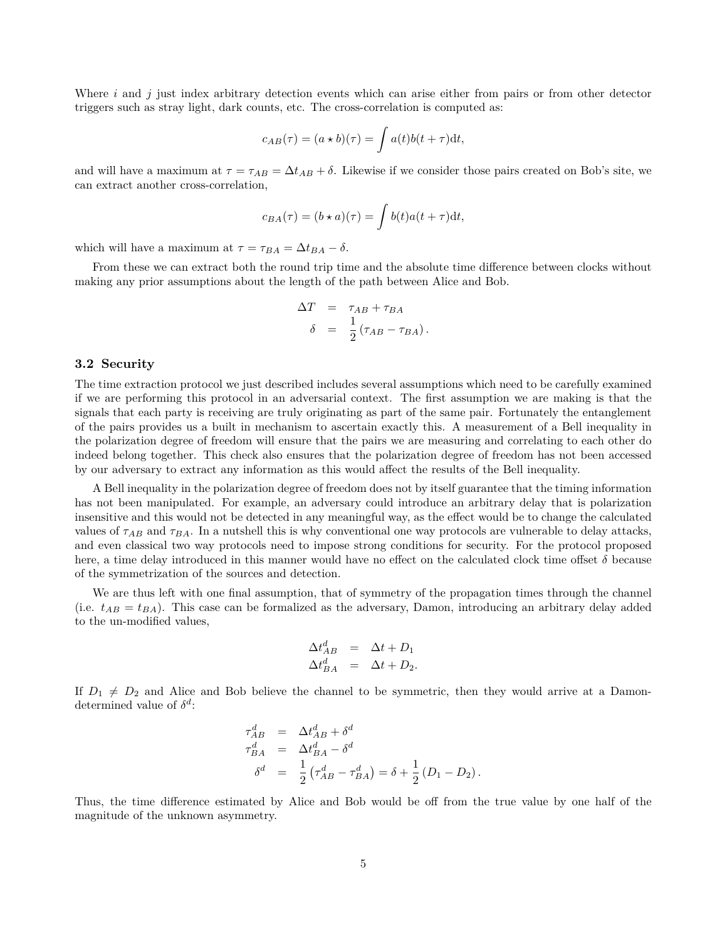Where *i* and *j* just index arbitrary detection events which can arise either from pairs or from other detector triggers such as stray light, dark counts, etc. The cross-correlation is computed as:

$$
c_{AB}(\tau) = (a \star b)(\tau) = \int a(t)b(t+\tau)dt,
$$

and will have a maximum at  $\tau = \tau_{AB} = \Delta t_{AB} + \delta$ . Likewise if we consider those pairs created on Bob's site, we can extract another cross-correlation,

$$
c_{BA}(\tau) = (b \star a)(\tau) = \int b(t)a(t+\tau)dt,
$$

which will have a maximum at  $\tau = \tau_{BA} = \Delta t_{BA} - \delta$ .

From these we can extract both the round trip time and the absolute time difference between clocks without making any prior assumptions about the length of the path between Alice and Bob.

$$
\Delta T = \tau_{AB} + \tau_{BA}
$$
  

$$
\delta = \frac{1}{2} (\tau_{AB} - \tau_{BA}).
$$

#### **3.2 Security**

The time extraction protocol we just described includes several assumptions which need to be carefully examined if we are performing this protocol in an adversarial context. The first assumption we are making is that the signals that each party is receiving are truly originating as part of the same pair. Fortunately the entanglement of the pairs provides us a built in mechanism to ascertain exactly this. A measurement of a Bell inequality in the polarization degree of freedom will ensure that the pairs we are measuring and correlating to each other do indeed belong together. This check also ensures that the polarization degree of freedom has not been accessed by our adversary to extract any information as this would affect the results of the Bell inequality.

A Bell inequality in the polarization degree of freedom does not by itself guarantee that the timing information has not been manipulated. For example, an adversary could introduce an arbitrary delay that is polarization insensitive and this would not be detected in any meaningful way, as the effect would be to change the calculated values of  $\tau_{AB}$  and  $\tau_{BA}$ . In a nutshell this is why conventional one way protocols are vulnerable to delay attacks, and even classical two way protocols need to impose strong conditions for security. For the protocol proposed here, a time delay introduced in this manner would have no effect on the calculated clock time offset *δ* because of the symmetrization of the sources and detection.

We are thus left with one final assumption, that of symmetry of the propagation times through the channel (i.e.  $t_{AB} = t_{BA}$ ). This case can be formalized as the adversary, Damon, introducing an arbitrary delay added to the un-modified values,

$$
\Delta t_{AB}^d = \Delta t + D_1
$$
  

$$
\Delta t_{BA}^d = \Delta t + D_2.
$$

If  $D_1 \neq D_2$  and Alice and Bob believe the channel to be symmetric, then they would arrive at a Damondetermined value of  $\delta^d$ :

$$
\tau_{AB}^d = \Delta t_{AB}^d + \delta^d
$$
  
\n
$$
\tau_{BA}^d = \Delta t_{BA}^d - \delta^d
$$
  
\n
$$
\delta^d = \frac{1}{2} (\tau_{AB}^d - \tau_{BA}^d) = \delta + \frac{1}{2} (D_1 - D_2).
$$

Thus, the time difference estimated by Alice and Bob would be off from the true value by one half of the magnitude of the unknown asymmetry.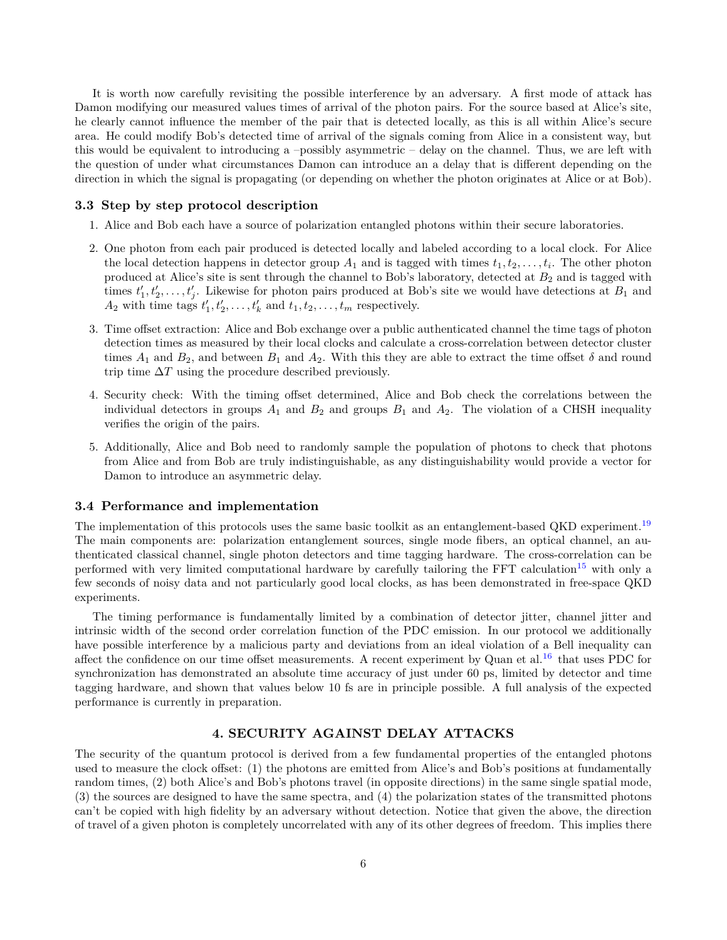It is worth now carefully revisiting the possible interference by an adversary. A first mode of attack has Damon modifying our measured values times of arrival of the photon pairs. For the source based at Alice's site, he clearly cannot influence the member of the pair that is detected locally, as this is all within Alice's secure area. He could modify Bob's detected time of arrival of the signals coming from Alice in a consistent way, but this would be equivalent to introducing a –possibly asymmetric – delay on the channel. Thus, we are left with the question of under what circumstances Damon can introduce an a delay that is different depending on the direction in which the signal is propagating (or depending on whether the photon originates at Alice or at Bob).

#### **3.3 Step by step protocol description**

- 1. Alice and Bob each have a source of polarization entangled photons within their secure laboratories.
- 2. One photon from each pair produced is detected locally and labeled according to a local clock. For Alice the local detection happens in detector group  $A_1$  and is tagged with times  $t_1, t_2, \ldots, t_i$ . The other photon produced at Alice's site is sent through the channel to Bob's laboratory, detected at *B*<sup>2</sup> and is tagged with times  $t'_1, t'_2, \ldots, t'_j$ . Likewise for photon pairs produced at Bob's site we would have detections at  $B_1$  and  $A_2$  with time tags  $t'_1, t'_2, \ldots, t'_k$  and  $t_1, t_2, \ldots, t_m$  respectively.
- 3. Time offset extraction: Alice and Bob exchange over a public authenticated channel the time tags of photon detection times as measured by their local clocks and calculate a cross-correlation between detector cluster times  $A_1$  and  $B_2$ , and between  $B_1$  and  $A_2$ . With this they are able to extract the time offset  $\delta$  and round trip time  $\Delta T$  using the procedure described previously.
- 4. Security check: With the timing offset determined, Alice and Bob check the correlations between the individual detectors in groups  $A_1$  and  $B_2$  and groups  $B_1$  and  $A_2$ . The violation of a CHSH inequality verifies the origin of the pairs.
- 5. Additionally, Alice and Bob need to randomly sample the population of photons to check that photons from Alice and from Bob are truly indistinguishable, as any distinguishability would provide a vector for Damon to introduce an asymmetric delay.

#### **3.4 Performance and implementation**

The implementation of this protocols uses the same basic toolkit as an entanglement-based QKD experiment.<sup>19</sup> The main components are: polarization entanglement sources, single mode fibers, an optical channel, an authenticated classical channel, single photon detectors and time tagging hardware. The cross-correlation can be performed with very limited computational hardware by carefully tailoring the FFT calculation<sup>15</sup> with only a few seconds of noisy data and not particularly good local clocks, as has been demonstrated in free-space QKD experiments.

The timing performance is fundamentally limited by a combination of detector jitter, channel jitter and intrinsic width of the second order correlation function of the PDC emission. In our protocol we additionally have possible interference by a malicious party and deviations from an ideal violation of a Bell inequality can affect the confidence on our time offset measurements. A recent experiment by Quan et al.<sup>16</sup> that uses PDC for synchronization has demonstrated an absolute time accuracy of just under 60 ps, limited by detector and time tagging hardware, and shown that values below 10 fs are in principle possible. A full analysis of the expected performance is currently in preparation.

# **4. SECURITY AGAINST DELAY ATTACKS**

The security of the quantum protocol is derived from a few fundamental properties of the entangled photons used to measure the clock offset: (1) the photons are emitted from Alice's and Bob's positions at fundamentally random times, (2) both Alice's and Bob's photons travel (in opposite directions) in the same single spatial mode, (3) the sources are designed to have the same spectra, and (4) the polarization states of the transmitted photons can't be copied with high fidelity by an adversary without detection. Notice that given the above, the direction of travel of a given photon is completely uncorrelated with any of its other degrees of freedom. This implies there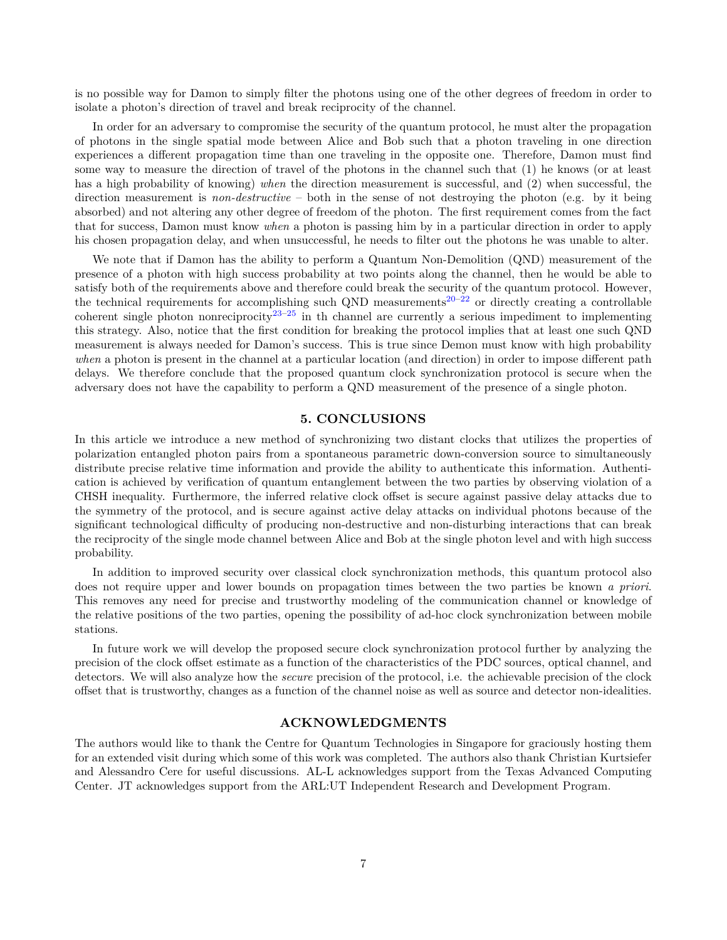is no possible way for Damon to simply filter the photons using one of the other degrees of freedom in order to isolate a photon's direction of travel and break reciprocity of the channel.

In order for an adversary to compromise the security of the quantum protocol, he must alter the propagation of photons in the single spatial mode between Alice and Bob such that a photon traveling in one direction experiences a different propagation time than one traveling in the opposite one. Therefore, Damon must find some way to measure the direction of travel of the photons in the channel such that (1) he knows (or at least has a high probability of knowing) *when* the direction measurement is successful, and (2) when successful, the direction measurement is *non-destructive* – both in the sense of not destroying the photon (e.g. by it being absorbed) and not altering any other degree of freedom of the photon. The first requirement comes from the fact that for success, Damon must know *when* a photon is passing him by in a particular direction in order to apply his chosen propagation delay, and when unsuccessful, he needs to filter out the photons he was unable to alter.

We note that if Damon has the ability to perform a Quantum Non-Demolition (QND) measurement of the presence of a photon with high success probability at two points along the channel, then he would be able to satisfy both of the requirements above and therefore could break the security of the quantum protocol. However, the technical requirements for accomplishing such QND measurements<sup>20–22</sup> or directly creating a controllable coherent single photon nonreciprocity<sup>23–25</sup> in th channel are currently a serious impediment to implementing this strategy. Also, notice that the first condition for breaking the protocol implies that at least one such QND measurement is always needed for Damon's success. This is true since Demon must know with high probability *when* a photon is present in the channel at a particular location (and direction) in order to impose different path delays. We therefore conclude that the proposed quantum clock synchronization protocol is secure when the adversary does not have the capability to perform a QND measurement of the presence of a single photon.

# **5. CONCLUSIONS**

In this article we introduce a new method of synchronizing two distant clocks that utilizes the properties of polarization entangled photon pairs from a spontaneous parametric down-conversion source to simultaneously distribute precise relative time information and provide the ability to authenticate this information. Authentication is achieved by verification of quantum entanglement between the two parties by observing violation of a CHSH inequality. Furthermore, the inferred relative clock offset is secure against passive delay attacks due to the symmetry of the protocol, and is secure against active delay attacks on individual photons because of the significant technological difficulty of producing non-destructive and non-disturbing interactions that can break the reciprocity of the single mode channel between Alice and Bob at the single photon level and with high success probability.

In addition to improved security over classical clock synchronization methods, this quantum protocol also does not require upper and lower bounds on propagation times between the two parties be known *a priori*. This removes any need for precise and trustworthy modeling of the communication channel or knowledge of the relative positions of the two parties, opening the possibility of ad-hoc clock synchronization between mobile stations.

In future work we will develop the proposed secure clock synchronization protocol further by analyzing the precision of the clock offset estimate as a function of the characteristics of the PDC sources, optical channel, and detectors. We will also analyze how the *secure* precision of the protocol, i.e. the achievable precision of the clock offset that is trustworthy, changes as a function of the channel noise as well as source and detector non-idealities.

#### **ACKNOWLEDGMENTS**

The authors would like to thank the Centre for Quantum Technologies in Singapore for graciously hosting them for an extended visit during which some of this work was completed. The authors also thank Christian Kurtsiefer and Alessandro Cere for useful discussions. AL-L acknowledges support from the Texas Advanced Computing Center. JT acknowledges support from the ARL:UT Independent Research and Development Program.